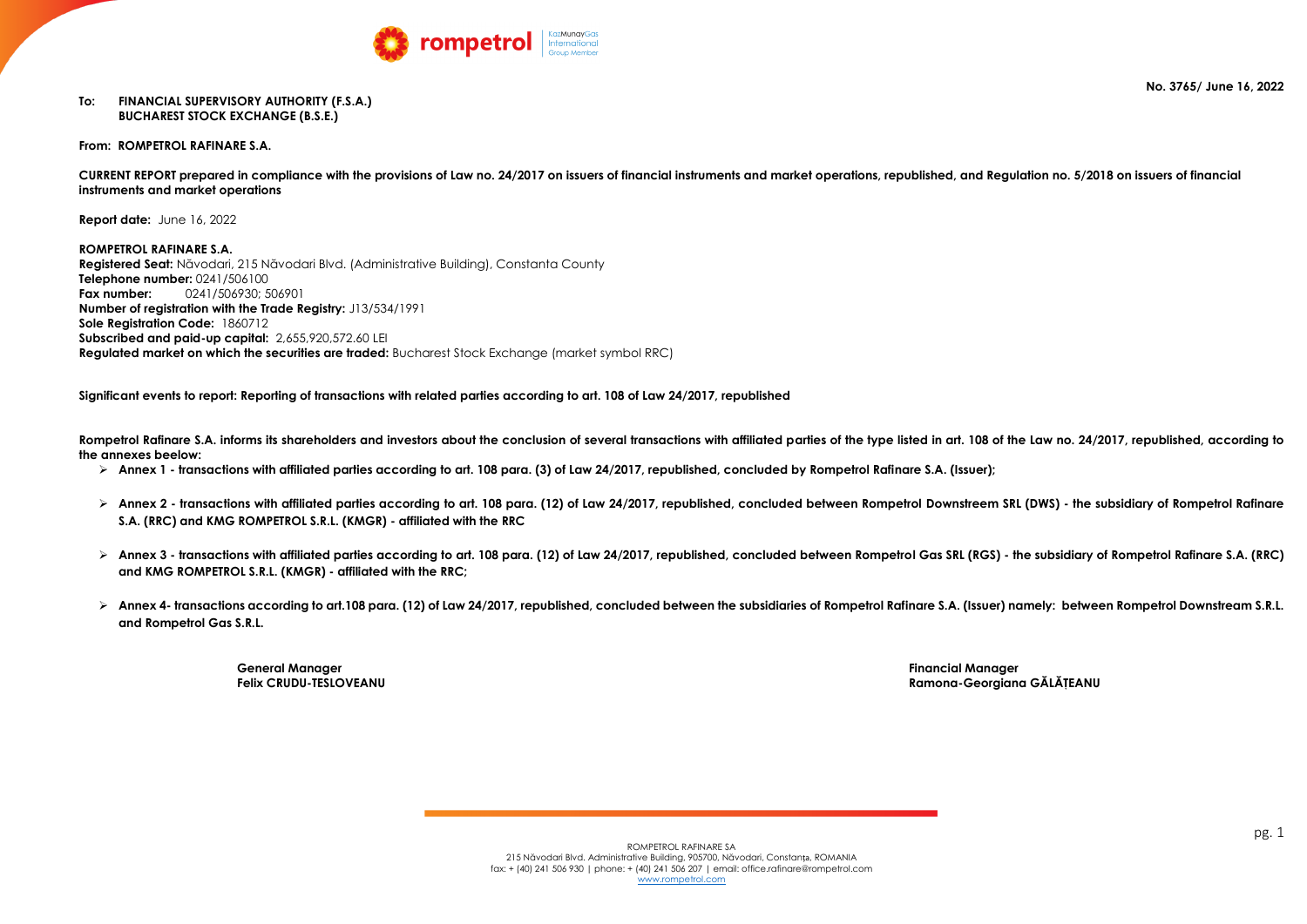### **No. 3765/ June 16, 2022**



### **To: FINANCIAL SUPERVISORY AUTHORITY (F.S.A.) BUCHAREST STOCK EXCHANGE (B.S.E.)**

**From: ROMPETROL RAFINARE S.A.**

**CURRENT REPORT prepared in compliance with the provisions of Law no. 24/2017 on issuers of financial instruments and market operations, republished, and Regulation no. 5/2018 on issuers of financial instruments and market operations**

**Report date:** June 16, 2022

**ROMPETROL RAFINARE S.A. Registered Seat:** Năvodari, 215 Năvodari Blvd. (Administrative Building), Constanta County **Telephone number:** 0241/506100 **Fax number:** 0241/506930; 506901 **Number of registration with the Trade Registry:** J13/534/1991 **Sole Registration Code:** 1860712 **Subscribed and paid-up capital:** 2,655,920,572.60 LEI **Regulated market on which the securities are traded:** Bucharest Stock Exchange (market symbol RRC)

**Significant events to report: Reporting of transactions with related parties according to art. 108 of Law 24/2017, republished**

**Rompetrol Rafinare S.A. informs its shareholders and investors about the conclusion of several transactions with affiliated parties of the type listed in art. 108 of the Law no. 24/2017, republished, according to the annexes beelow:**

- **Annex 1 - transactions with affiliated parties according to art. 108 para. (3) of Law 24/2017, republished, concluded by Rompetrol Rafinare S.A. (Issuer);**
- **Annex 2 - transactions with affiliated parties according to art. 108 para. (12) of Law 24/2017, republished, concluded between Rompetrol Downstreem SRL (DWS) - the subsidiary of Rompetrol Rafinare S.A. (RRC) and KMG ROMPETROL S.R.L. (KMGR) - affiliated with the RRC**
- **Annex 3 - transactions with affiliated parties according to art. 108 para. (12) of Law 24/2017, republished, concluded between Rompetrol Gas SRL (RGS) - the subsidiary of Rompetrol Rafinare S.A. (RRC) and KMG ROMPETROL S.R.L. (KMGR) - affiliated with the RRC;**
- **Annex 4- transactions according to art.108 para. (12) of Law 24/2017, republished, concluded between the subsidiaries of Rompetrol Rafinare S.A. (Issuer) namely: between Rompetrol Downstream S.R.L. and Rompetrol Gas S.R.L.**

**General Manager Financial Manager**

**Felix CRUDU-TESLOVEANU Ramona-Georgiana GĂLĂŢEANU**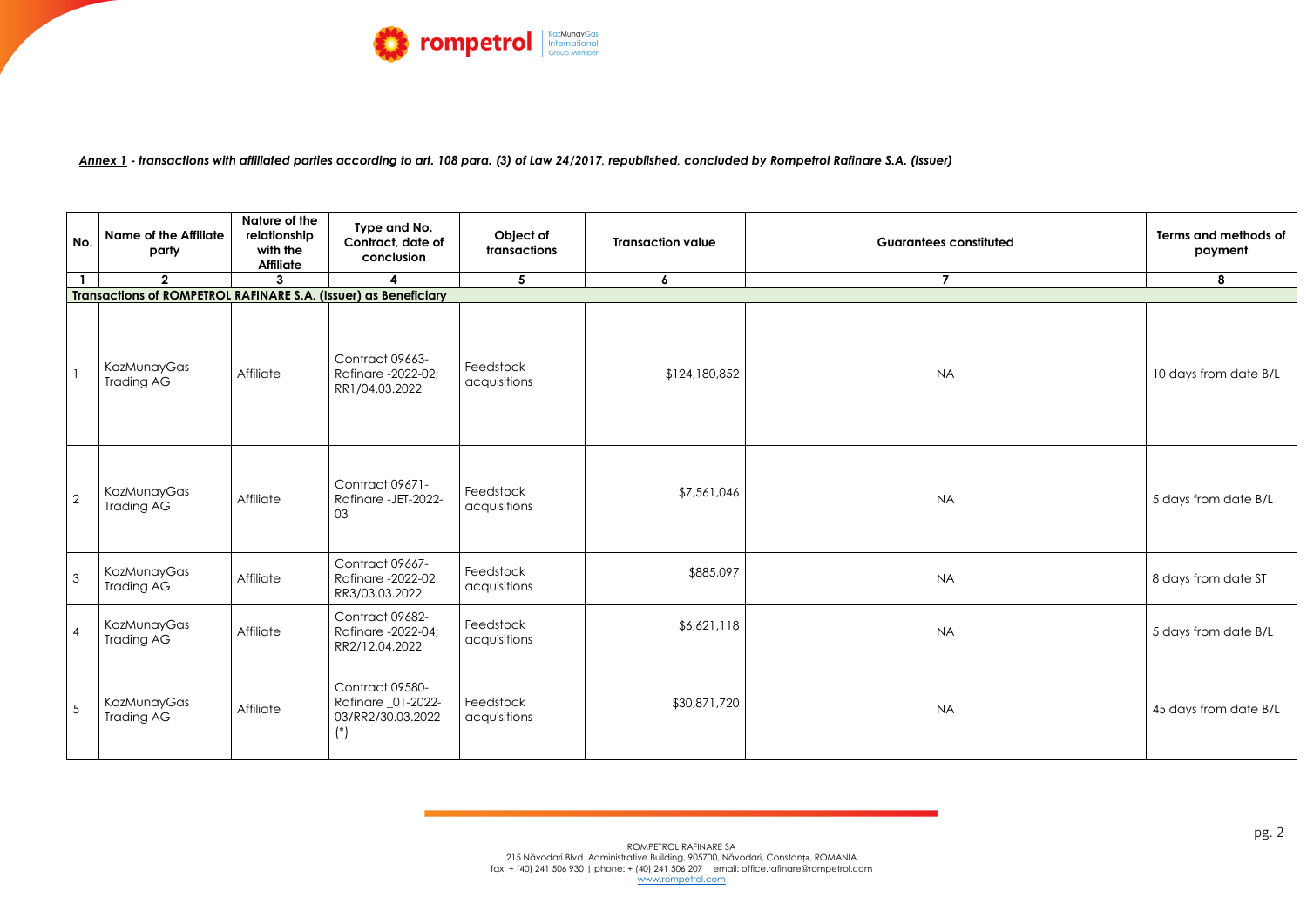

*Annex 1* **-** *transactions with affiliated parties according to art. 108 para. (3) of Law 24/2017, republished, concluded by Rompetrol Rafinare S.A. (Issuer)*

| No.             | <b>Name of the Affiliate</b><br>party                           | Nature of the<br>relationship<br>with the<br><b>Affiliate</b> | Type and No.<br>Contract, date of<br>conclusion                     | Object of<br>transactions | <b>Transaction value</b> | <b>Guarantees constituted</b> | Terms and methods of<br>payment |
|-----------------|-----------------------------------------------------------------|---------------------------------------------------------------|---------------------------------------------------------------------|---------------------------|--------------------------|-------------------------------|---------------------------------|
|                 | $\overline{2}$                                                  |                                                               |                                                                     | $5\overline{)}$           | $\boldsymbol{6}$         | $\overline{7}$                | 8                               |
|                 | Transactions of ROMPETROL RAFINARE S.A. (Issuer) as Beneficiary |                                                               |                                                                     |                           |                          |                               |                                 |
| $\mathbf{1}$    | KazMunayGas<br><b>Trading AG</b>                                | Affiliate                                                     | Contract 09663-<br>Rafinare -2022-02;<br>RR1/04.03.2022             | Feedstock<br>acquisitions | \$124,180,852            | <b>NA</b>                     | 10 days from date B/L           |
| $\overline{2}$  | KazMunayGas<br><b>Trading AG</b>                                | Affiliate                                                     | Contract 09671-<br>Rafinare - JET-2022-<br>03                       | Feedstock<br>acquisitions | \$7,561,046              | <b>NA</b>                     | 5 days from date B/L            |
| $\mathbf{3}$    | KazMunayGas<br><b>Trading AG</b>                                | Affiliate                                                     | Contract 09667-<br>Rafinare -2022-02;<br>RR3/03.03.2022             | Feedstock<br>acquisitions | \$885,097                | <b>NA</b>                     | 8 days from date ST             |
| $\overline{4}$  | KazMunayGas<br><b>Trading AG</b>                                | Affiliate                                                     | Contract 09682-<br>Rafinare -2022-04;<br>RR2/12.04.2022             | Feedstock<br>acquisitions | \$6,621,118              | <b>NA</b>                     | 5 days from date B/L            |
| $5\overline{5}$ | KazMunayGas<br><b>Trading AG</b>                                | Affiliate                                                     | Contract 09580-<br>Rafinare _01-2022-<br>03/RR2/30.03.2022<br>$(*)$ | Feedstock<br>acquisitions | \$30,871,720             | <b>NA</b>                     | 45 days from date B/L           |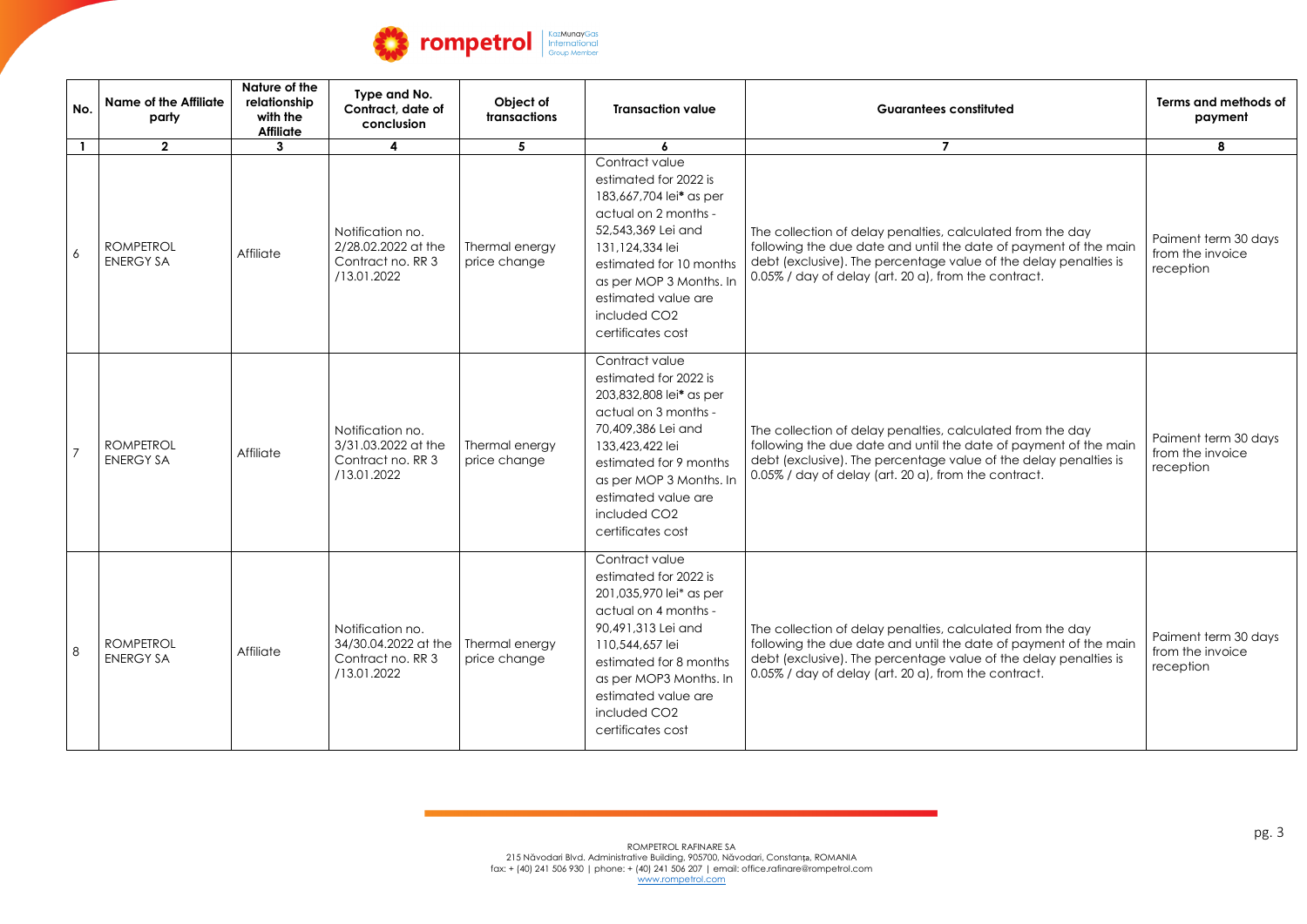

| No.          | <b>Name of the Affiliate</b><br>party | Nature of the<br>relationship<br>with the<br><b>Affiliate</b> | Type and No.<br>Contract, date of<br>conclusion                              | Object of<br>transactions      | <b>Transaction value</b>                                                                                                                                                                                                                                          | <b>Guarantees constituted</b>                                                                                                                                                                                                                              | Terms and methods of<br>payment                       |
|--------------|---------------------------------------|---------------------------------------------------------------|------------------------------------------------------------------------------|--------------------------------|-------------------------------------------------------------------------------------------------------------------------------------------------------------------------------------------------------------------------------------------------------------------|------------------------------------------------------------------------------------------------------------------------------------------------------------------------------------------------------------------------------------------------------------|-------------------------------------------------------|
| $\mathbf{1}$ | $\mathbf{2}$                          | $\mathbf{3}$                                                  | $\overline{4}$                                                               | 5                              | $\boldsymbol{6}$                                                                                                                                                                                                                                                  | $\overline{7}$                                                                                                                                                                                                                                             | 8                                                     |
| 6            | <b>ROMPETROL</b><br><b>ENERGY SA</b>  | Affiliate                                                     | Notification no.<br>2/28.02.2022 at the<br>Contract no. RR 3<br>/13.01.2022  | Thermal energy<br>price change | Contract value<br>estimated for 2022 is<br>183,667,704 lei* as per<br>actual on 2 months -<br>52,543,369 Lei and<br>131,124,334 lei<br>estimated for 10 months<br>as per MOP 3 Months. In<br>estimated value are<br>included CO <sub>2</sub><br>certificates cost | The collection of delay penalties, calculated from the day<br>following the due date and until the date of payment of the main<br>debt (exclusive). The percentage value of the delay penalties is<br>0.05% / day of delay (art. 20 a), from the contract. | Paiment term 30 days<br>from the invoice<br>reception |
|              | <b>ROMPETROL</b><br><b>ENERGY SA</b>  | Affiliate                                                     | Notification no.<br>3/31.03.2022 at the<br>Contract no. RR 3<br>/13.01.2022  | Thermal energy<br>price change | Contract value<br>estimated for 2022 is<br>203,832,808 lei* as per<br>actual on 3 months -<br>70,409,386 Lei and<br>133,423,422 lei<br>estimated for 9 months<br>as per MOP 3 Months. In<br>estimated value are<br>included CO <sub>2</sub><br>certificates cost  | The collection of delay penalties, calculated from the day<br>following the due date and until the date of payment of the main<br>debt (exclusive). The percentage value of the delay penalties is<br>0.05% / day of delay (art. 20 a), from the contract. | Paiment term 30 days<br>from the invoice<br>reception |
| 8            | <b>ROMPETROL</b><br><b>ENERGY SA</b>  | Affiliate                                                     | Notification no.<br>34/30.04.2022 at the<br>Contract no. RR 3<br>/13.01.2022 | Thermal energy<br>price change | Contract value<br>estimated for 2022 is<br>201,035,970 lei* as per<br>actual on 4 months -<br>90,491,313 Lei and<br>110,544,657 lei<br>estimated for 8 months<br>as per MOP3 Months. In<br>estimated value are<br>included CO <sub>2</sub><br>certificates cost   | The collection of delay penalties, calculated from the day<br>following the due date and until the date of payment of the main<br>debt (exclusive). The percentage value of the delay penalties is<br>0.05% / day of delay (art. 20 a), from the contract. | Paiment term 30 days<br>from the invoice<br>reception |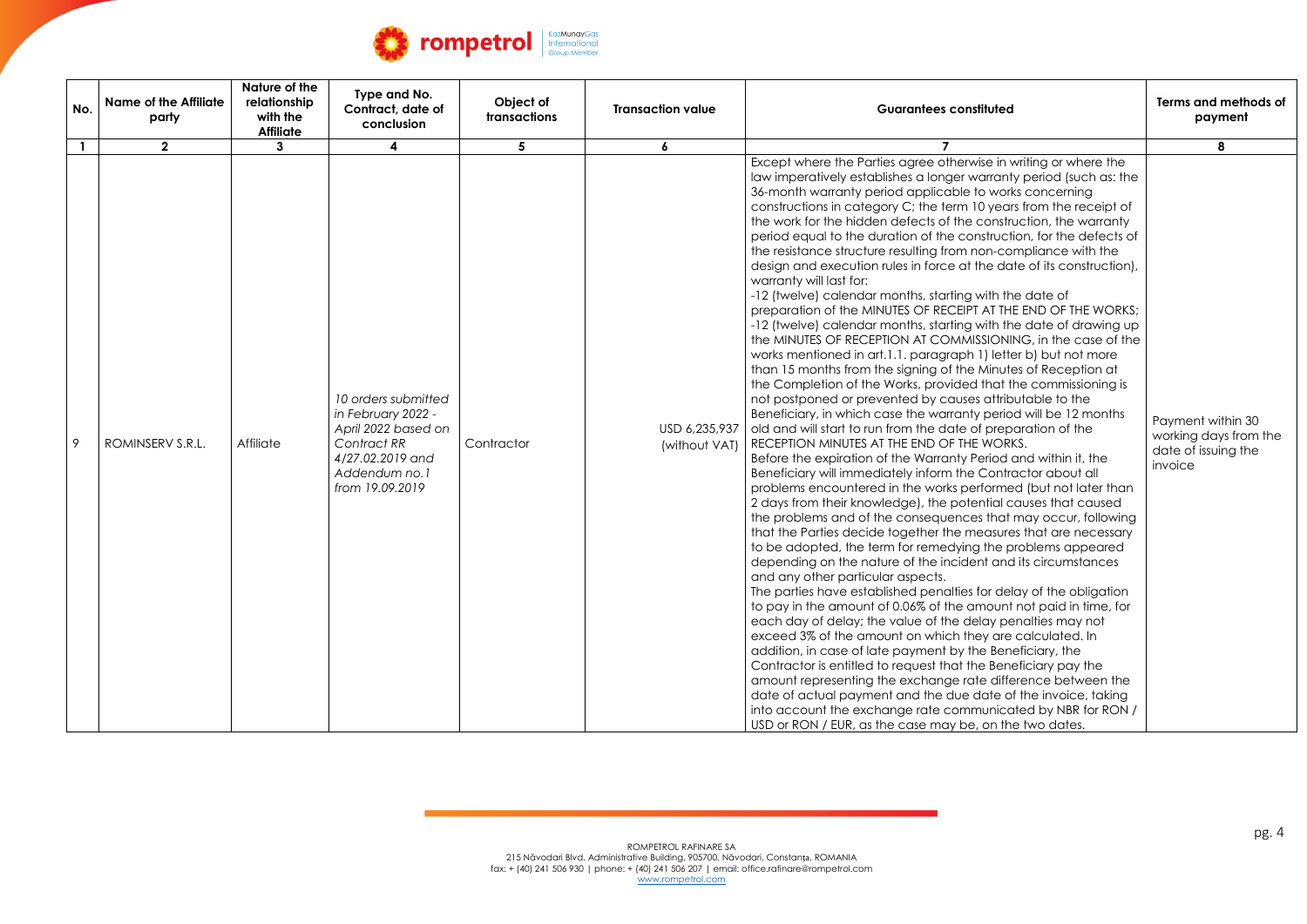

| No. | <b>Name of the Affiliate</b><br>party | Nature of the<br>relationship<br>with the<br><b>Affiliate</b> | Type and No.<br>Contract, date of<br>conclusion                                                                                         | Object of<br>transactions | <b>Transaction value</b>       | <b>Guarantees constituted</b>                                                                                                                                                                                                                                                                                                                                                                                                                                                                                                                                                                                                                                                                                                                                                                                                                                                                                                                                                                                                                                                                                                                                                                                                                                                                                                                                                                                                                                                                                                                                                                                                                                                                                                                                                                                                                                                                                                                                                                                                                                                                                                                                                                                                                                                                                                                                                                                                                                                                                                                                                | Terms and methods of<br>payment                                              |
|-----|---------------------------------------|---------------------------------------------------------------|-----------------------------------------------------------------------------------------------------------------------------------------|---------------------------|--------------------------------|------------------------------------------------------------------------------------------------------------------------------------------------------------------------------------------------------------------------------------------------------------------------------------------------------------------------------------------------------------------------------------------------------------------------------------------------------------------------------------------------------------------------------------------------------------------------------------------------------------------------------------------------------------------------------------------------------------------------------------------------------------------------------------------------------------------------------------------------------------------------------------------------------------------------------------------------------------------------------------------------------------------------------------------------------------------------------------------------------------------------------------------------------------------------------------------------------------------------------------------------------------------------------------------------------------------------------------------------------------------------------------------------------------------------------------------------------------------------------------------------------------------------------------------------------------------------------------------------------------------------------------------------------------------------------------------------------------------------------------------------------------------------------------------------------------------------------------------------------------------------------------------------------------------------------------------------------------------------------------------------------------------------------------------------------------------------------------------------------------------------------------------------------------------------------------------------------------------------------------------------------------------------------------------------------------------------------------------------------------------------------------------------------------------------------------------------------------------------------------------------------------------------------------------------------------------------------|------------------------------------------------------------------------------|
|     | $\overline{2}$                        | 3                                                             |                                                                                                                                         | $5^{\circ}$               | 6                              |                                                                                                                                                                                                                                                                                                                                                                                                                                                                                                                                                                                                                                                                                                                                                                                                                                                                                                                                                                                                                                                                                                                                                                                                                                                                                                                                                                                                                                                                                                                                                                                                                                                                                                                                                                                                                                                                                                                                                                                                                                                                                                                                                                                                                                                                                                                                                                                                                                                                                                                                                                              | 8                                                                            |
| 9   | ROMINSERV S.R.L.                      | Affiliate                                                     | 10 orders submitted<br>in February 2022 -<br>April 2022 based on<br>Contract RR<br>4/27.02.2019 and<br>Addendum no.1<br>from 19.09.2019 | Contractor                | USD 6,235,937<br>(without VAT) | Except where the Parties agree otherwise in writing or where the<br>law imperatively establishes a longer warranty period (such as: the<br>36-month warranty period applicable to works concerning<br>constructions in category C; the term 10 years from the receipt of<br>the work for the hidden defects of the construction, the warranty<br>period equal to the duration of the construction, for the defects of<br>the resistance structure resulting from non-compliance with the<br>design and execution rules in force at the date of its construction),<br>warranty will last for:<br>-12 (twelve) calendar months, starting with the date of<br>preparation of the MINUTES OF RECEIPT AT THE END OF THE WORKS;<br>-12 (twelve) calendar months, starting with the date of drawing up<br>the MINUTES OF RECEPTION AT COMMISSIONING, in the case of the<br>works mentioned in art.1.1. paragraph 1) letter b) but not more<br>than 15 months from the signing of the Minutes of Reception at<br>the Completion of the Works, provided that the commissioning is<br>not postponed or prevented by causes attributable to the<br>Beneficiary, in which case the warranty period will be 12 months<br>old and will start to run from the date of preparation of the<br>RECEPTION MINUTES AT THE END OF THE WORKS.<br>Before the expiration of the Warranty Period and within it, the<br>Beneficiary will immediately inform the Contractor about all<br>problems encountered in the works performed (but not later than<br>2 days from their knowledge), the potential causes that caused<br>the problems and of the consequences that may occur, following<br>that the Parties decide together the measures that are necessary<br>to be adopted, the term for remedying the problems appeared<br>depending on the nature of the incident and its circumstances<br>and any other particular aspects.<br>The parties have established penalties for delay of the obligation<br>to pay in the amount of 0.06% of the amount not paid in time, for<br>each day of delay; the value of the delay penalties may not<br>exceed 3% of the amount on which they are calculated. In<br>addition, in case of late payment by the Beneficiary, the<br>Contractor is entitled to request that the Beneficiary pay the<br>amount representing the exchange rate difference between the<br>date of actual payment and the due date of the invoice, taking<br>into account the exchange rate communicated by NBR for RON /<br>USD or RON / EUR, as the case may be, on the two dates. | Payment within 30<br>working days from the<br>date of issuing the<br>invoice |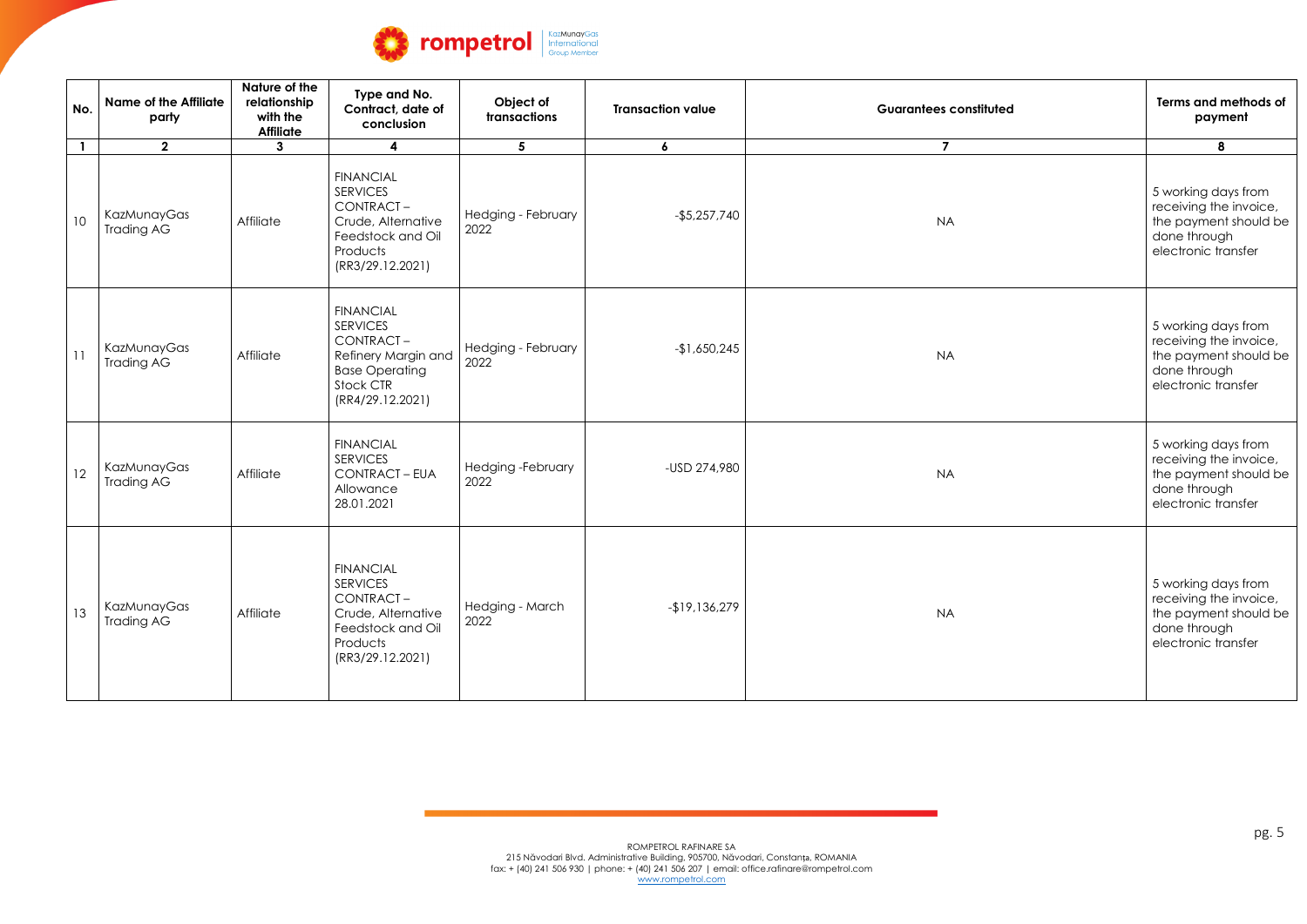

| No.             | <b>Name of the Affiliate</b><br>party | Nature of the<br>relationship<br>with the<br><b>Affiliate</b> | Type and No.<br>Contract, date of<br>conclusion                                                                                   | Object of<br>transactions  | <b>Transaction value</b> | <b>Guarantees constituted</b> | Terms and methods of<br>payment                                                                               |
|-----------------|---------------------------------------|---------------------------------------------------------------|-----------------------------------------------------------------------------------------------------------------------------------|----------------------------|--------------------------|-------------------------------|---------------------------------------------------------------------------------------------------------------|
| $\mathbf{1}$    | 2 <sup>1</sup>                        | $\mathbf{3}$                                                  | 4                                                                                                                                 | $5\phantom{1}$             | $\boldsymbol{6}$         | $\overline{7}$                | 8                                                                                                             |
| 10 <sup>°</sup> | KazMunayGas<br>Trading AG             | Affiliate                                                     | <b>FINANCIAL</b><br><b>SERVICES</b><br>CONTRACT-<br>Crude, Alternative<br>Feedstock and Oil<br>Products<br>(RR3/29.12.2021)       | Hedging - February<br>2022 | $-$5,257,740$            | <b>NA</b>                     | 5 working days from<br>receiving the invoice,<br>the payment should be<br>done through<br>electronic transfer |
| 11              | KazMunayGas<br><b>Trading AG</b>      | Affiliate                                                     | <b>FINANCIAL</b><br><b>SERVICES</b><br>CONTRACT-<br>Refinery Margin and<br><b>Base Operating</b><br>Stock CTR<br>(RR4/29.12.2021) | Hedging - February<br>2022 | $-1,650,245$             | <b>NA</b>                     | 5 working days from<br>receiving the invoice,<br>the payment should be<br>done through<br>electronic transfer |
| 12              | KazMunayGas<br><b>Trading AG</b>      | Affiliate                                                     | <b>FINANCIAL</b><br><b>SERVICES</b><br>CONTRACT - EUA<br>Allowance<br>28.01.2021                                                  | Hedging-February<br>2022   | -USD 274,980             | <b>NA</b>                     | 5 working days from<br>receiving the invoice,<br>the payment should be<br>done through<br>electronic transfer |
| 13              | KazMunayGas<br><b>Trading AG</b>      | Affiliate                                                     | <b>FINANCIAL</b><br><b>SERVICES</b><br>CONTRACT-<br>Crude, Alternative<br>Feedstock and Oil<br>Products<br>(RR3/29.12.2021)       | Hedging - March<br>2022    | $-19,136,279$            | <b>NA</b>                     | 5 working days from<br>receiving the invoice,<br>the payment should be<br>done through<br>electronic transfer |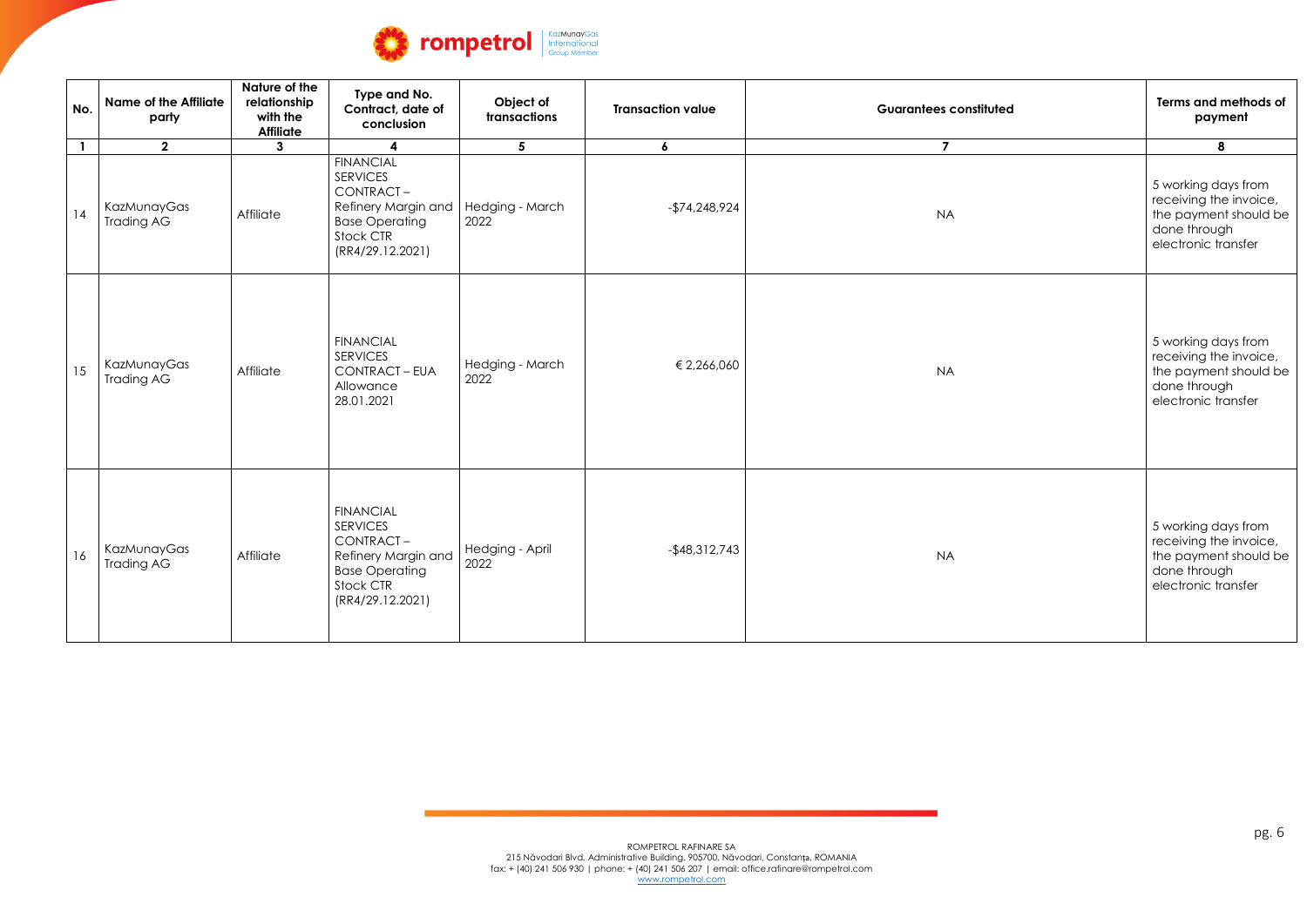

| No.          | <b>Name of the Affiliate</b><br>party | Nature of the<br>relationship<br>with the<br><b>Affiliate</b> | Type and No.<br>Contract, date of<br>conclusion                                                                                   | Object of<br>transactions | <b>Transaction value</b> | <b>Guarantees constituted</b> | Terms and methods of<br>payment                                                                               |
|--------------|---------------------------------------|---------------------------------------------------------------|-----------------------------------------------------------------------------------------------------------------------------------|---------------------------|--------------------------|-------------------------------|---------------------------------------------------------------------------------------------------------------|
| $\mathbf{1}$ | $\overline{2}$                        | $\mathbf{3}$                                                  |                                                                                                                                   | 5 <sup>5</sup>            | $\boldsymbol{6}$         | $\overline{7}$                | 8                                                                                                             |
| 14           | KazMunayGas<br><b>Trading AG</b>      | Affiliate                                                     | <b>FINANCIAL</b><br><b>SERVICES</b><br>CONTRACT-<br>Refinery Margin and<br><b>Base Operating</b><br>Stock CTR<br>(RR4/29.12.2021) | Hedging - March<br>2022   | $-$74,248,924$           | <b>NA</b>                     | 5 working days from<br>receiving the invoice,<br>the payment should be<br>done through<br>electronic transfer |
| 15           | KazMunayGas<br><b>Trading AG</b>      | Affiliate                                                     | <b>FINANCIAL</b><br><b>SERVICES</b><br><b>CONTRACT - EUA</b><br>Allowance<br>28.01.2021                                           | Hedging - March<br>2022   | € 2,266,060              | <b>NA</b>                     | 5 working days from<br>receiving the invoice,<br>the payment should be<br>done through<br>electronic transfer |
| 16           | KazMunayGas<br><b>Trading AG</b>      | Affiliate                                                     | <b>FINANCIAL</b><br><b>SERVICES</b><br>CONTRACT-<br>Refinery Margin and<br><b>Base Operating</b><br>Stock CTR<br>(RR4/29.12.2021) | Hedging - April<br>2022   | $-$ \$48,312,743         | <b>NA</b>                     | 5 working days from<br>receiving the invoice,<br>the payment should be<br>done through<br>electronic transfer |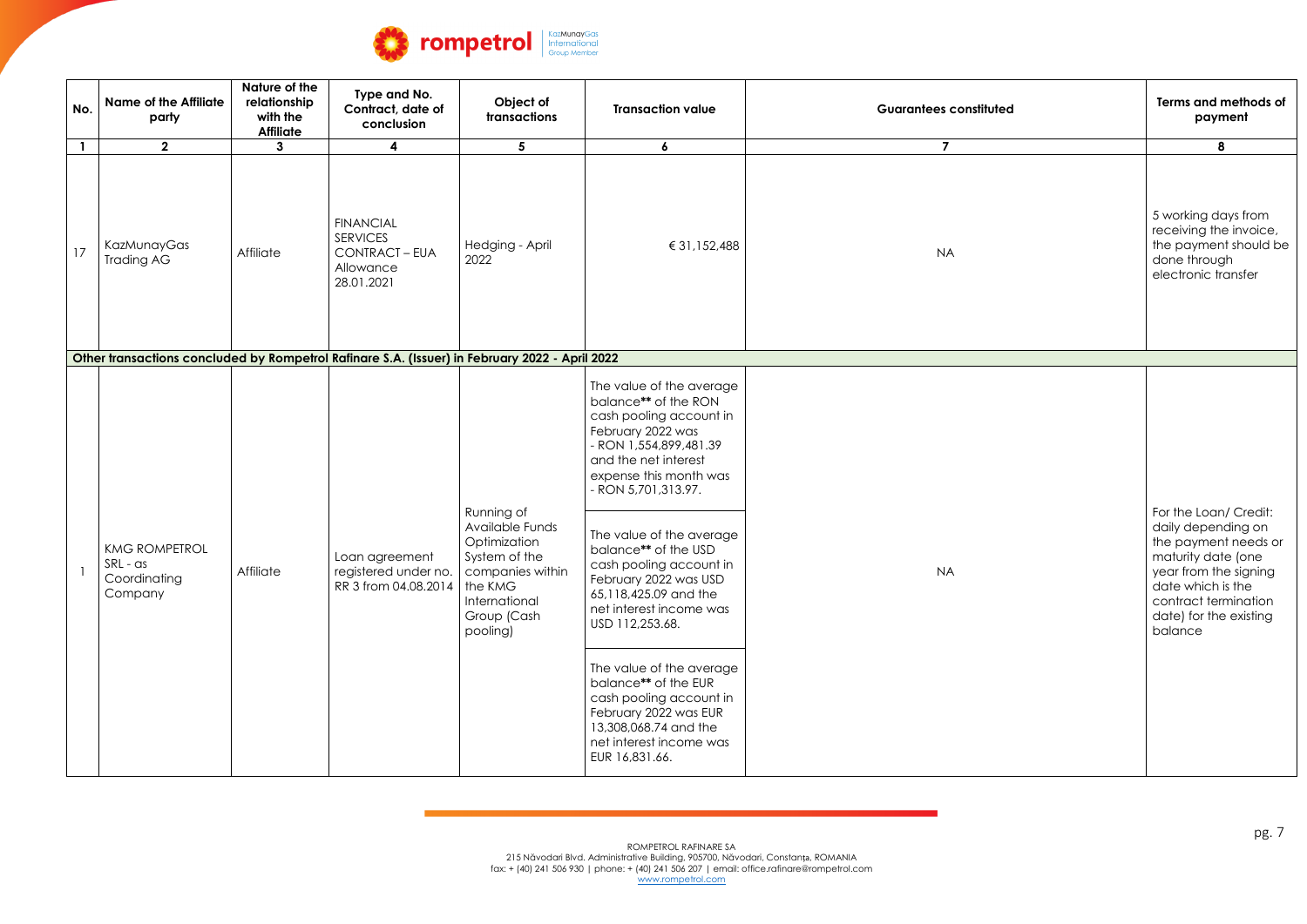

| No.          | <b>Name of the Affiliate</b><br>party                                                          | Nature of the<br>relationship<br>with the<br><b>Affiliate</b> | Type and No.<br>Contract, date of<br>conclusion                                             | Object of<br>transactions                                                                                  | <b>Transaction value</b>                                                                                                                                                                            | <b>Guarantees constituted</b> | Terms and methods of<br>payment                                                                                                                                                                      |
|--------------|------------------------------------------------------------------------------------------------|---------------------------------------------------------------|---------------------------------------------------------------------------------------------|------------------------------------------------------------------------------------------------------------|-----------------------------------------------------------------------------------------------------------------------------------------------------------------------------------------------------|-------------------------------|------------------------------------------------------------------------------------------------------------------------------------------------------------------------------------------------------|
| $\mathbf{1}$ | 2 <sup>1</sup>                                                                                 | 3                                                             | 4                                                                                           | 5                                                                                                          | $\boldsymbol{6}$                                                                                                                                                                                    | $\overline{7}$                | 8                                                                                                                                                                                                    |
| 17           | KazMunayGas<br>Trading AG                                                                      | Affiliate                                                     | <b>FINANCIAL</b><br><b>SERVICES</b><br><b>CONTRACT - EUA</b><br>Allowance<br>28.01.2021     | Hedging - April<br>2022                                                                                    | € 31,152,488                                                                                                                                                                                        | <b>NA</b>                     | 5 working days from<br>receiving the invoice,<br>the payment should be<br>done through<br>electronic transfer                                                                                        |
|              | Other transactions concluded by Rompetrol Rafinare S.A. (Issuer) in February 2022 - April 2022 |                                                               |                                                                                             |                                                                                                            |                                                                                                                                                                                                     |                               |                                                                                                                                                                                                      |
|              |                                                                                                |                                                               |                                                                                             |                                                                                                            | The value of the average<br>balance** of the RON<br>cash pooling account in<br>February 2022 was<br>- RON 1,554,899,481.39<br>and the net interest<br>expense this month was<br>- RON 5,701,313.97. |                               |                                                                                                                                                                                                      |
|              | <b>KMG ROMPETROL</b><br>SRL - as<br>Coordinating<br>Company                                    | Affiliate                                                     | Loan agreement<br>registered under no.   companies within<br>RR 3 from 04.08.2014   the KMG | Running of<br>Available Funds<br>Optimization<br>System of the<br>International<br>Group (Cash<br>pooling) | The value of the average<br>balance** of the USD<br>cash pooling account in<br>February 2022 was USD<br>65,118,425.09 and the<br>net interest income was<br>USD 112,253.68.                         | <b>NA</b>                     | For the Loan/ Credit:<br>daily depending on<br>the payment needs or<br>maturity date (one<br>year from the signing<br>date which is the<br>contract termination<br>date) for the existing<br>balance |
|              |                                                                                                |                                                               |                                                                                             |                                                                                                            | The value of the average<br>balance** of the EUR<br>cash pooling account in<br>February 2022 was EUR<br>13,308,068.74 and the<br>net interest income was<br>EUR 16,831.66.                          |                               |                                                                                                                                                                                                      |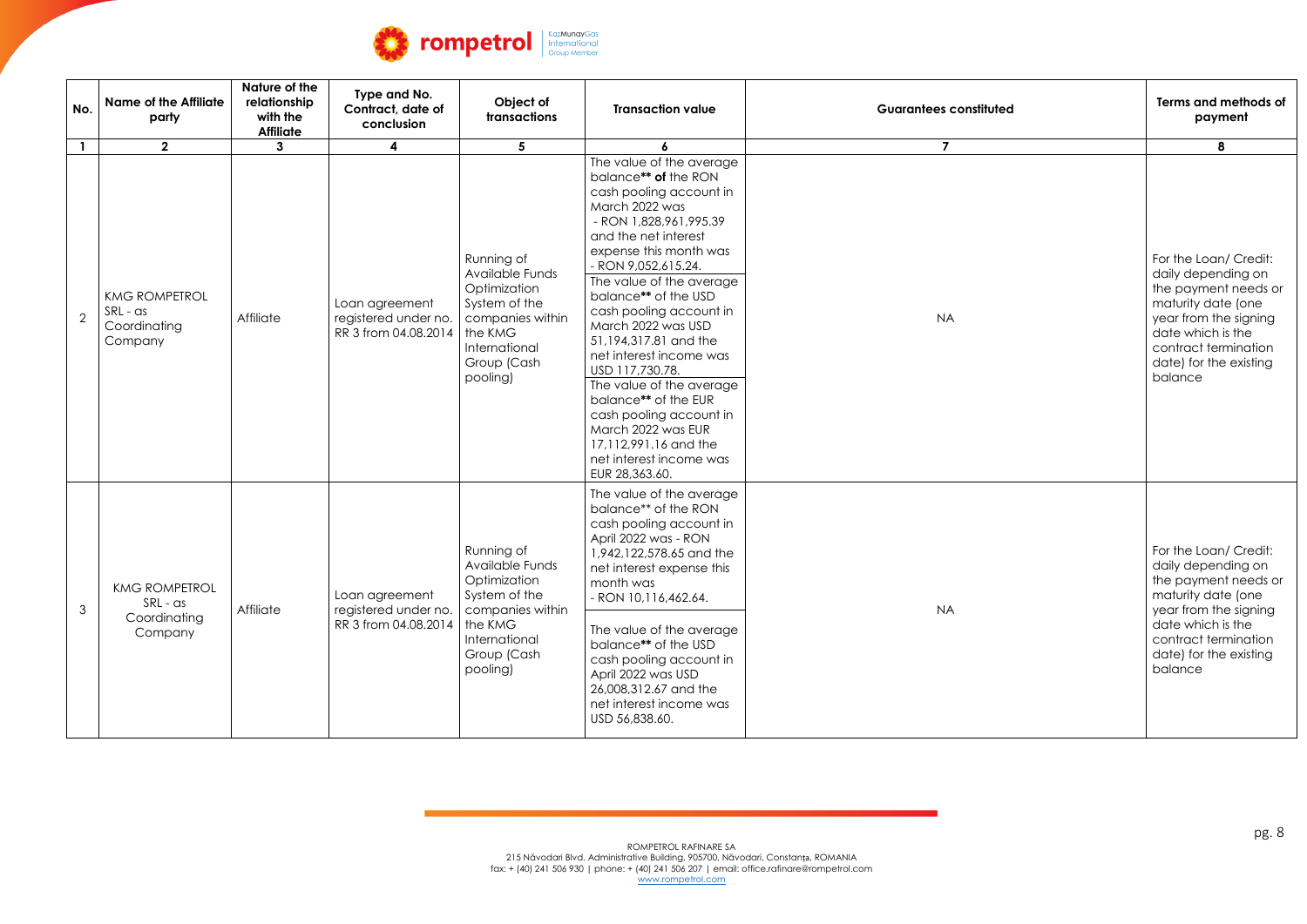

| No.            | <b>Name of the Affiliate</b><br>party                       | Nature of the<br>relationship<br>with the<br><b>Affiliate</b> | Type and No.<br>Contract, date of<br>conclusion                | Object of<br>transactions                                                                                                                 | <b>Transaction value</b>                                                                                                                                                                                                                                                                                                                                                                                                                                                                                                                                | <b>Guarantees constituted</b> | Terms and methods of<br>payment                                                                                                                                                                      |
|----------------|-------------------------------------------------------------|---------------------------------------------------------------|----------------------------------------------------------------|-------------------------------------------------------------------------------------------------------------------------------------------|---------------------------------------------------------------------------------------------------------------------------------------------------------------------------------------------------------------------------------------------------------------------------------------------------------------------------------------------------------------------------------------------------------------------------------------------------------------------------------------------------------------------------------------------------------|-------------------------------|------------------------------------------------------------------------------------------------------------------------------------------------------------------------------------------------------|
| $\mathbf{1}$   | $\mathbf{2}$                                                | 3                                                             | $\overline{\mathbf{4}}$                                        | 5                                                                                                                                         | 6                                                                                                                                                                                                                                                                                                                                                                                                                                                                                                                                                       | $\overline{7}$                | 8                                                                                                                                                                                                    |
|                | <b>KMG ROMPETROL</b><br>SRL - as<br>Coordinating<br>Company | Affiliate                                                     | Loan agreement<br>registered under no.<br>RR 3 from 04.08.2014 | Running of<br>Available Funds<br>Optimization<br>System of the<br>companies within<br>the KMG<br>International<br>Group (Cash<br>pooling) | The value of the average<br>balance** of the RON<br>cash pooling account in<br>March 2022 was<br>- RON 1,828,961,995.39<br>and the net interest<br>expense this month was<br>- RON 9,052,615.24.<br>The value of the average<br>balance** of the USD<br>cash pooling account in<br>March 2022 was USD<br>51,194,317.81 and the<br>net interest income was<br>USD 117,730.78.<br>The value of the average<br>balance** of the EUR<br>cash pooling account in<br>March 2022 was EUR<br>17,112,991.16 and the<br>net interest income was<br>EUR 28,363.60. | <b>NA</b>                     | For the Loan/ Credit:<br>daily depending on<br>the payment needs or<br>maturity date (one<br>year from the signing<br>date which is the<br>contract termination<br>date) for the existing<br>balance |
| $\mathfrak{Z}$ | <b>KMG ROMPETROL</b><br>SRL - as<br>Coordinating<br>Company | Affiliate                                                     | Loan agreement<br>registered under no.<br>RR 3 from 04.08.2014 | Running of<br>Available Funds<br>Optimization<br>System of the<br>companies within<br>the KMG<br>International<br>Group (Cash<br>pooling) | The value of the average<br>balance** of the RON<br>cash pooling account in<br>April 2022 was - RON<br>1,942,122,578.65 and the<br>net interest expense this<br>month was<br>- RON 10,116,462.64.<br>The value of the average<br>balance** of the USD<br>cash pooling account in<br>April 2022 was USD<br>26,008,312.67 and the<br>net interest income was<br>USD 56,838.60.                                                                                                                                                                            | <b>NA</b>                     | For the Loan/ Credit:<br>daily depending on<br>the payment needs or<br>maturity date (one<br>year from the signing<br>date which is the<br>contract termination<br>date) for the existing<br>balance |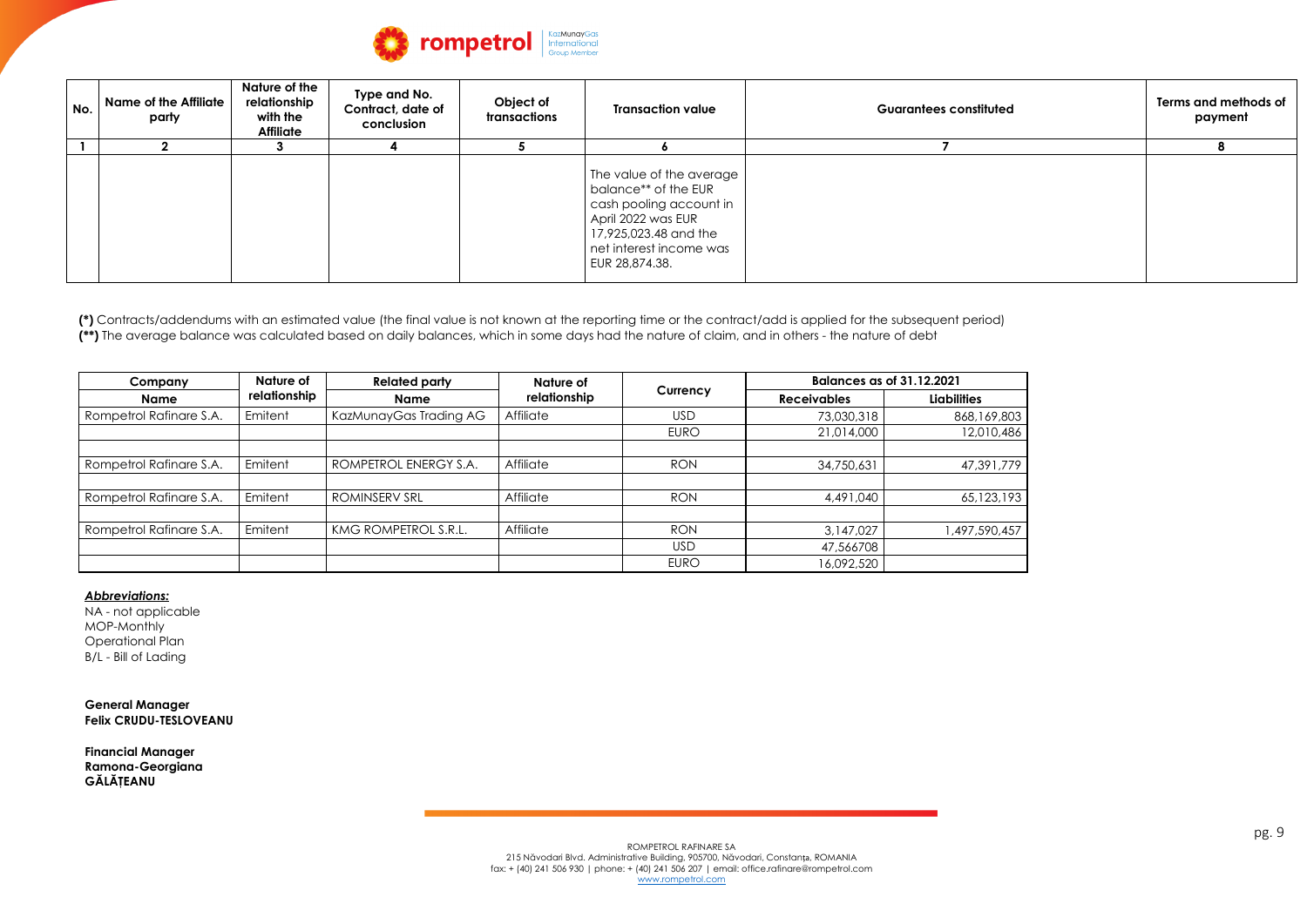**(\*)** Contracts/addendums with an estimated value (the final value is not known at the reporting time or the contract/add is applied for the subsequent period) (\*\*) The average balance was calculated based on daily balances, which in some days had the nature of claim, and in others - the nature of debt



| No. | <b>Name of the Affiliate</b><br>party | Nature of the<br>relationship<br>with the<br><b>Affiliate</b> | Type and No.<br><b>Contract, date of</b><br>conclusion | Object of<br>transactions | <b>Transaction value</b>                                                                                                                                                | <b>Guarantees constituted</b> | Terms and methods of<br>payment |
|-----|---------------------------------------|---------------------------------------------------------------|--------------------------------------------------------|---------------------------|-------------------------------------------------------------------------------------------------------------------------------------------------------------------------|-------------------------------|---------------------------------|
|     |                                       |                                                               |                                                        |                           |                                                                                                                                                                         |                               |                                 |
|     |                                       |                                                               |                                                        |                           | The value of the average<br>balance** of the EUR<br>cash pooling account in<br>April 2022 was EUR<br>17,925,023.48 and the<br>net interest income was<br>EUR 28,874.38. |                               |                                 |



| Company                 | Nature of    | <b>Related party</b>   | Nature of    |             |                    | <b>Balances as of 31.12.2021</b> |  |  |
|-------------------------|--------------|------------------------|--------------|-------------|--------------------|----------------------------------|--|--|
| <b>Name</b>             | relationship | <b>Name</b>            | relationship | Currency    | <b>Receivables</b> | <b>Liabilities</b>               |  |  |
| Rompetrol Rafinare S.A. | Emitent      | KazMunayGas Trading AG | Affiliate    | <b>USD</b>  | 73,030,318         | 868, 169, 803                    |  |  |
|                         |              |                        |              | <b>EURO</b> | 21,014,000         | 12,010,486                       |  |  |
| Rompetrol Rafinare S.A. | Emitent      | ROMPETROL ENERGY S.A.  | Affiliate    | <b>RON</b>  | 34,750,631         | 47,391,779                       |  |  |
| Rompetrol Rafinare S.A. | Emitent      | <b>ROMINSERV SRL</b>   | Affiliate    | <b>RON</b>  | 4,491,040          | 65,123,193                       |  |  |
| Rompetrol Rafinare S.A. | Emitent      | KMG ROMPETROL S.R.L.   | Affiliate    | <b>RON</b>  | 3,147,027          | 1,497,590,457                    |  |  |
|                         |              |                        |              | <b>USD</b>  | 47,566708          |                                  |  |  |
|                         |              |                        |              | <b>EURO</b> | 16,092,520         |                                  |  |  |

## *Abbreviations:*

NA - not applicable MOP-Monthly Operational Plan B/L - Bill of Lading

**General Manager Felix CRUDU-TESLOVEANU**

**Financial Manager Ramona-Georgiana GĂLĂŢEANU**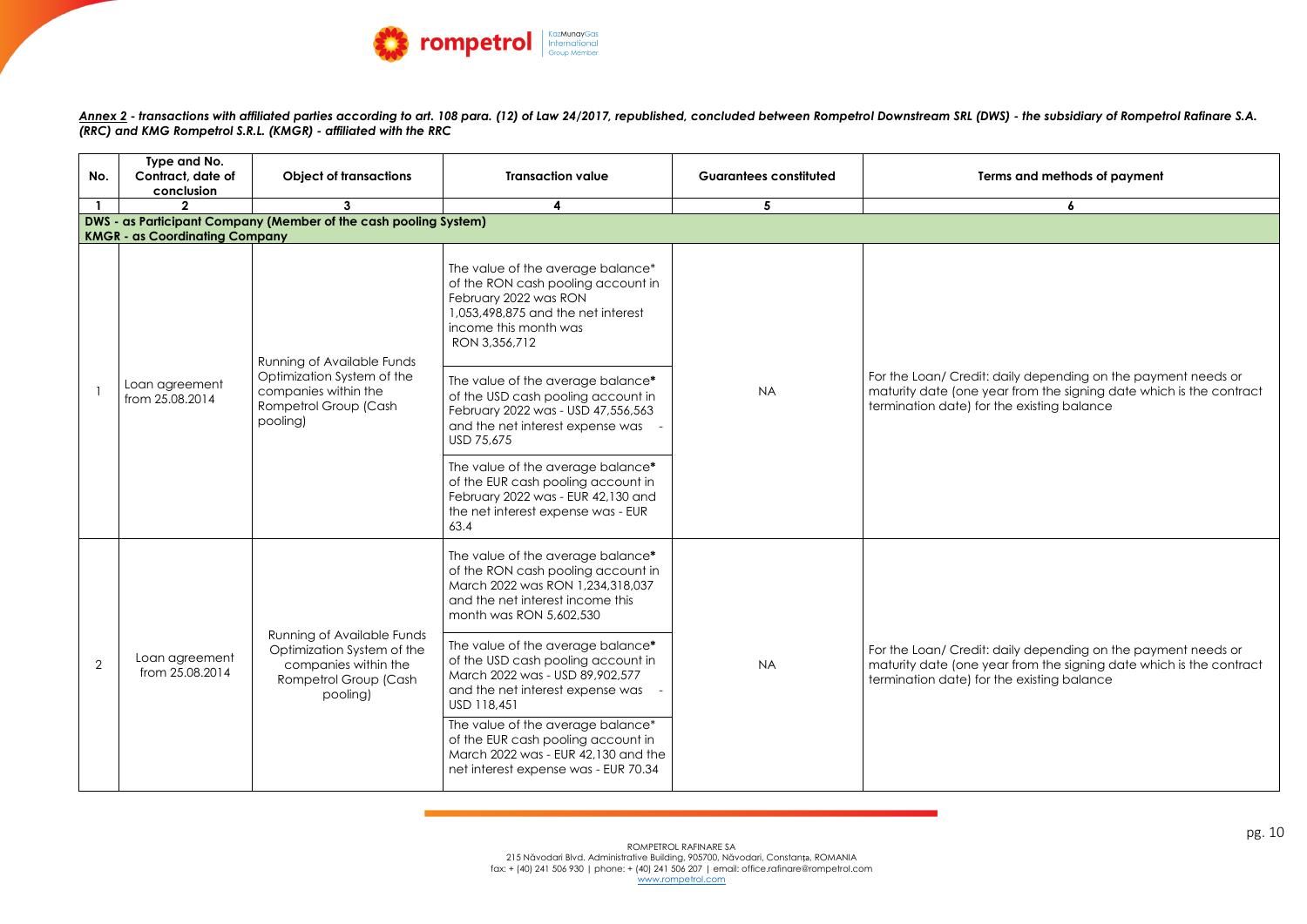pg. 10



Annex 2 - transactions with affiliated parties according to art. 108 para. (12) of Law 24/2017, republished, concluded between Rompetrol Downstream SRL (DWS) - the subsidiary of Rompetrol Rafinare S.A. *(RRC) and KMG Rompetrol S.R.L. (KMGR) - affiliated with the RRC*



| No. | Type and No.<br>Contract, date of<br>conclusion<br>$\mathfrak{p}$ | <b>Object of transactions</b><br>$\mathbf{3}$                                                                         | <b>Transaction value</b><br>4                                                                                                                                                    | <b>Guarantees constituted</b><br>5 | Terms and meth                                                                                                       |  |
|-----|-------------------------------------------------------------------|-----------------------------------------------------------------------------------------------------------------------|----------------------------------------------------------------------------------------------------------------------------------------------------------------------------------|------------------------------------|----------------------------------------------------------------------------------------------------------------------|--|
|     |                                                                   | DWS - as Participant Company (Member of the cash pooling System)                                                      |                                                                                                                                                                                  |                                    |                                                                                                                      |  |
|     | <b>KMGR - as Coordinating Company</b>                             |                                                                                                                       |                                                                                                                                                                                  |                                    |                                                                                                                      |  |
|     | Loan agreement<br>from 25.08.2014                                 | <b>Running of Available Funds</b>                                                                                     | The value of the average balance*<br>of the RON cash pooling account in<br>February 2022 was RON<br>1,053,498,875 and the net interest<br>income this month was<br>RON 3,356,712 |                                    |                                                                                                                      |  |
|     |                                                                   | Optimization System of the<br>companies within the<br>Rompetrol Group (Cash<br>pooling)                               | The value of the average balance*<br>of the USD cash pooling account in<br>February 2022 was - USD 47,556,563<br>and the net interest expense was<br><b>USD 75,675</b>           | <b>NA</b>                          | For the Loan/ Credit: daily dependi<br>maturity date (one year from the sig<br>termination date) for the existing bo |  |
|     |                                                                   |                                                                                                                       | The value of the average balance*<br>of the EUR cash pooling account in<br>February 2022 was - EUR 42,130 and<br>the net interest expense was - EUR<br>63.4                      |                                    |                                                                                                                      |  |
|     |                                                                   |                                                                                                                       | The value of the average balance*<br>of the RON cash pooling account in<br>March 2022 was RON 1,234,318,037<br>and the net interest income this<br>month was RON 5,602,530       |                                    |                                                                                                                      |  |
| 2   | Loan agreement<br>from 25.08.2014                                 | Running of Available Funds<br>Optimization System of the<br>companies within the<br>Rompetrol Group (Cash<br>pooling) | The value of the average balance*<br>of the USD cash pooling account in<br>March 2022 was - USD 89,902,577<br>and the net interest expense was<br>USD 118,451                    | <b>NA</b>                          | For the Loan/ Credit: daily dependi<br>maturity date (one year from the sig<br>termination date) for the existing be |  |
|     |                                                                   |                                                                                                                       | The value of the average balance*<br>of the EUR cash pooling account in<br>March 2022 was - EUR 42,130 and the<br>net interest expense was - EUR 70.34                           |                                    |                                                                                                                      |  |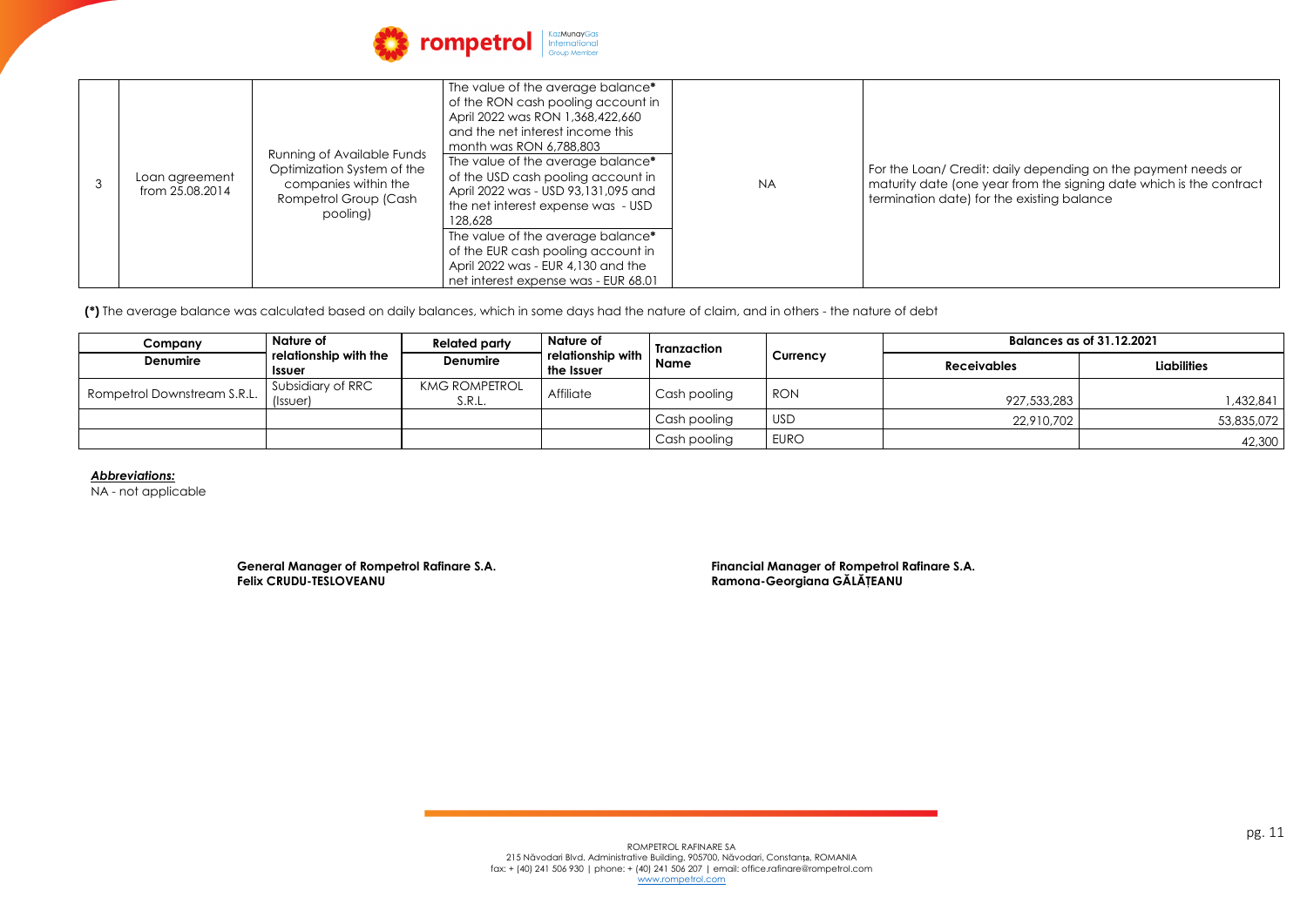### t: daily depending on the payment needs or year from the signing date which is the contract or the existing balance



| 3 | Loan agreement<br>from 25.08.2014 | <b>Running of Available Funds</b><br>Optimization System of the<br>companies within the<br>Rompetrol Group (Cash<br>pooling) | The value of the average balance*<br>of the RON cash pooling account in<br>April 2022 was RON 1,368,422,660<br>and the net interest income this<br>month was RON 6,788,803<br>The value of the average balance*<br>of the USD cash pooling account in<br>April 2022 was - USD 93,131,095 and<br>the net interest expense was - USD<br>128,628<br>The value of the average balance*<br>of the EUR cash pooling account in<br>April 2022 was - EUR 4,130 and the<br>net interest expense was - EUR 68.01 | <b>NA</b> | For the Loan/ Credit<br>maturity date (one)<br>termination date) fo |
|---|-----------------------------------|------------------------------------------------------------------------------------------------------------------------------|--------------------------------------------------------------------------------------------------------------------------------------------------------------------------------------------------------------------------------------------------------------------------------------------------------------------------------------------------------------------------------------------------------------------------------------------------------------------------------------------------------|-----------|---------------------------------------------------------------------|
|---|-----------------------------------|------------------------------------------------------------------------------------------------------------------------------|--------------------------------------------------------------------------------------------------------------------------------------------------------------------------------------------------------------------------------------------------------------------------------------------------------------------------------------------------------------------------------------------------------------------------------------------------------------------------------------------------------|-----------|---------------------------------------------------------------------|

**(\*)** The average balance was calculated based on daily balances, which in some days had the nature of claim, and in others - the nature of debt

| Company                     | Nature of<br>relationship with the<br><b>Issuer</b> |                                | <b>Related party</b>            | <b>Nature of</b> | <b>Tranzaction</b> |                    | <b>Balances as of 31.12.2021</b> |  |  |
|-----------------------------|-----------------------------------------------------|--------------------------------|---------------------------------|------------------|--------------------|--------------------|----------------------------------|--|--|
| <b>Denumire</b>             |                                                     | <b>Denumire</b>                | relationship with<br>the Issuer | <b>Name</b>      | <b>Currency</b>    | <b>Receivables</b> | <b>Liabilities</b>               |  |  |
| Rompetrol Downstream S.R.L. | Subsidiary of RRC<br>(Issuer)                       | <b>KMG ROMPETROL</b><br>S.R.L. | Affiliate                       | Cash pooling     | <b>RON</b>         | 927,533,283        | ,432,841                         |  |  |
|                             |                                                     |                                |                                 | Cash pooling     | <b>USD</b>         | 22,910,702         | 53,835,072                       |  |  |
|                             |                                                     |                                |                                 | Cash pooling     | <b>EURO</b>        |                    | 42,300                           |  |  |

*Abbreviations:*

NA - not applicable

**General Manager of Rompetrol Rafinare S.A. Financial Manager of Rompetrol Rafinare S.A. Felix CRUDU-TESLOVEANU Ramona-Georgiana GĂLĂŢEANU**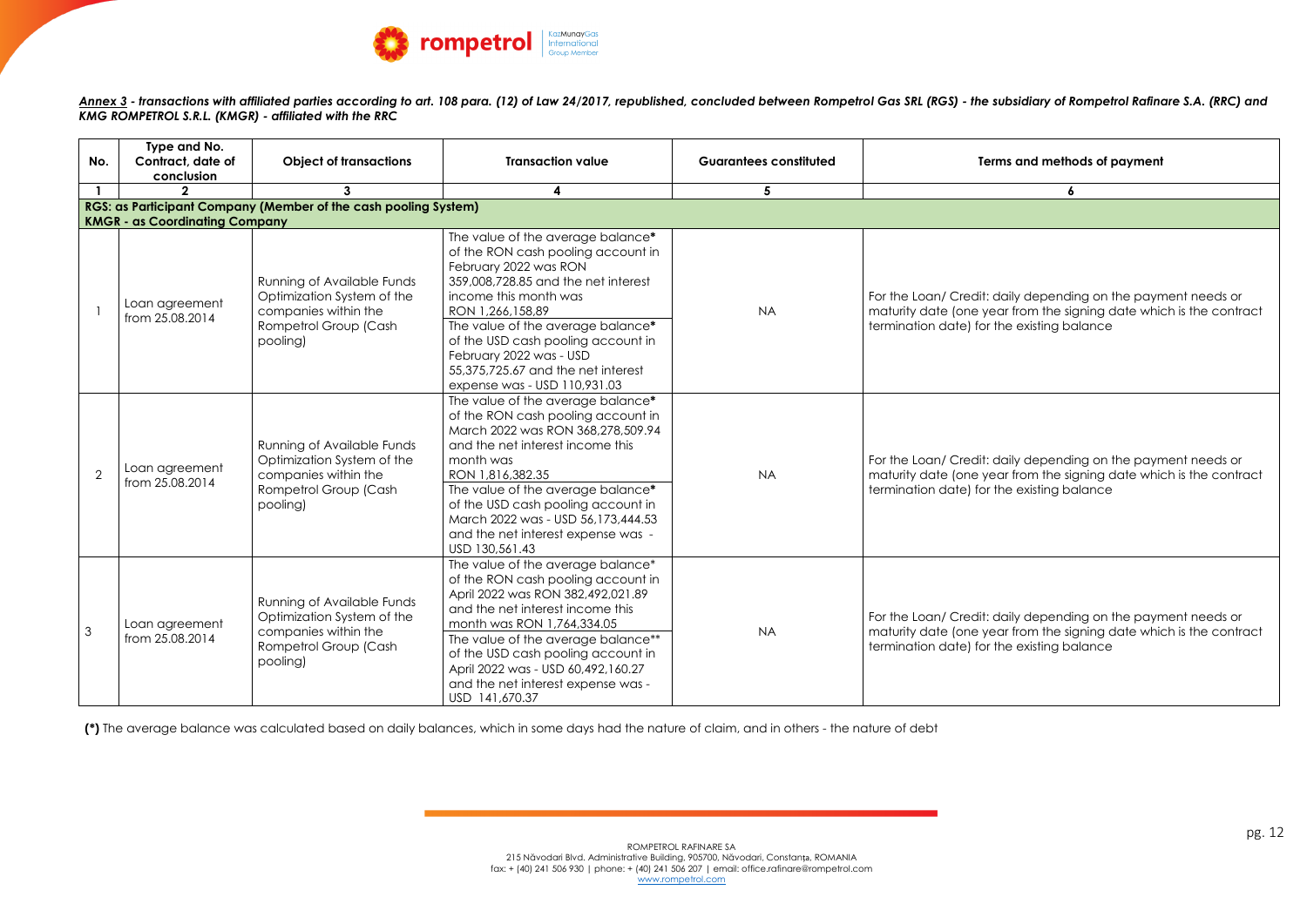

Annex 3 - transactions with affiliated parties according to art. 108 para. (12) of Law 24/2017, republished, concluded between Rompetrol Gas SRL (RGS) - the subsidiary of Rompetrol Rafinare S.A. (RRC) and *KMG ROMPETROL S.R.L. (KMGR) - affiliated with the RRC*

| No.            | Type and No.<br>Contract, date of<br>conclusion | <b>Object of transactions</b>                                                                                                | <b>Transaction value</b>                                                                                                                                                                                                                                                                                                                                         | <b>Guarantees constituted</b> | Terms and methods of payment                                                                                                                           |
|----------------|-------------------------------------------------|------------------------------------------------------------------------------------------------------------------------------|------------------------------------------------------------------------------------------------------------------------------------------------------------------------------------------------------------------------------------------------------------------------------------------------------------------------------------------------------------------|-------------------------------|--------------------------------------------------------------------------------------------------------------------------------------------------------|
|                |                                                 | $\mathbf{3}$                                                                                                                 | $\overline{\mathbf{4}}$                                                                                                                                                                                                                                                                                                                                          | 5                             | $\boldsymbol{6}$                                                                                                                                       |
|                |                                                 | RGS: as Participant Company (Member of the cash pooling System)                                                              |                                                                                                                                                                                                                                                                                                                                                                  |                               |                                                                                                                                                        |
|                | <b>KMGR - as Coordinating Company</b>           |                                                                                                                              |                                                                                                                                                                                                                                                                                                                                                                  |                               |                                                                                                                                                        |
|                | Loan agreement<br>from 25.08.2014               | <b>Running of Available Funds</b><br>Optimization System of the<br>companies within the<br>Rompetrol Group (Cash<br>pooling) | The value of the average balance*<br>of the RON cash pooling account in<br>February 2022 was RON<br>359,008,728.85 and the net interest<br>income this month was<br>RON 1,266,158,89<br>The value of the average balance*<br>of the USD cash pooling account in<br>February 2022 was - USD<br>55,375,725.67 and the net interest<br>expense was - USD 110,931.03 | <b>NA</b>                     | For the Loan/ Credit: daily depending on the payr<br>maturity date (one year from the signing date which<br>termination date) for the existing balance |
| 2              | Loan agreement<br>from 25.08.2014               | <b>Running of Available Funds</b><br>Optimization System of the<br>companies within the<br>Rompetrol Group (Cash<br>pooling) | The value of the average balance*<br>of the RON cash pooling account in<br>March 2022 was RON 368,278,509.94<br>and the net interest income this<br>month was<br>RON 1,816,382.35<br>The value of the average balance*<br>of the USD cash pooling account in<br>March 2022 was - USD 56,173,444.53<br>and the net interest expense was -<br>USD 130,561.43       | <b>NA</b>                     | For the Loan/ Credit: daily depending on the payr<br>maturity date (one year from the signing date which<br>termination date) for the existing balance |
| $\mathfrak{S}$ | Loan agreement<br>from 25.08.2014               | Running of Available Funds<br>Optimization System of the<br>companies within the<br>Rompetrol Group (Cash<br>pooling)        | The value of the average balance*<br>of the RON cash pooling account in<br>April 2022 was RON 382,492,021.89<br>and the net interest income this<br>month was RON 1,764,334.05<br>The value of the average balance**<br>of the USD cash pooling account in<br>April 2022 was - USD 60,492,160.27<br>and the net interest expense was -<br>USD 141,670.37         | <b>NA</b>                     | For the Loan/ Credit: daily depending on the payr<br>maturity date (one year from the signing date which<br>termination date) for the existing balance |

| Terms and methods of payment                                                                                                                                                       |  |  |  |  |  |  |
|------------------------------------------------------------------------------------------------------------------------------------------------------------------------------------|--|--|--|--|--|--|
| 6                                                                                                                                                                                  |  |  |  |  |  |  |
|                                                                                                                                                                                    |  |  |  |  |  |  |
| For the Loan/ Credit: daily depending on the payment needs or<br>maturity date (one year from the signing date which is the contract<br>termination date) for the existing balance |  |  |  |  |  |  |
| For the Loan/ Credit: daily depending on the payment needs or<br>maturity date (one year from the signing date which is the contract<br>termination date) for the existing balance |  |  |  |  |  |  |
| For the Loan/ Credit: daily depending on the payment needs or<br>maturity date (one year from the signing date which is the contract<br>termination date) for the existing balance |  |  |  |  |  |  |

**(\*)** The average balance was calculated based on daily balances, which in some days had the nature of claim, and in others - the nature of debt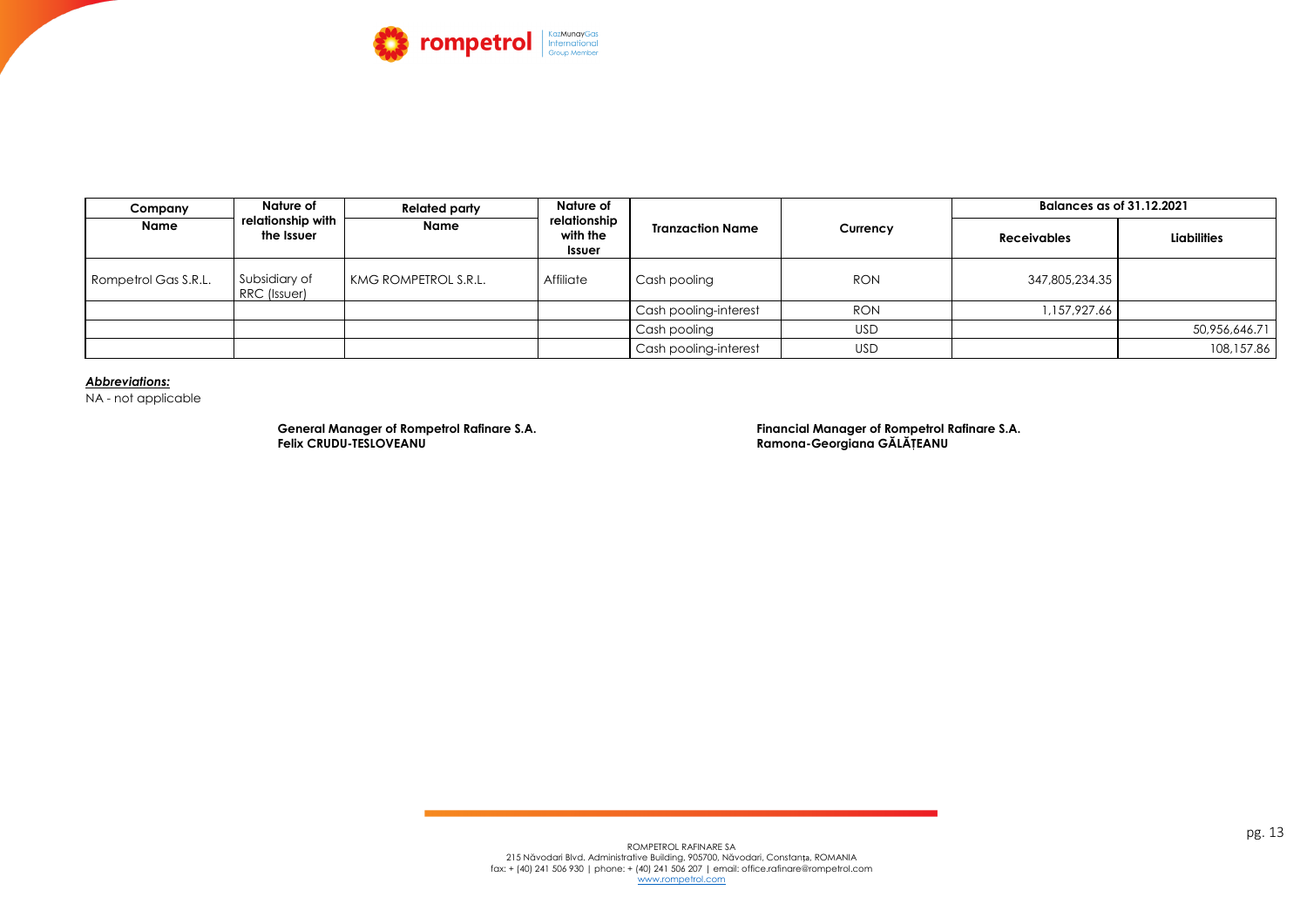

| Company              | <b>Nature of</b><br>relationship with<br>the Issuer | <b>Related party</b> | <b>Nature of</b><br>relationship<br>with the<br><b>Issuer</b> | <b>Tranzaction Name</b> | Currency   | <b>Balances as of 31.12.2021</b> |                    |
|----------------------|-----------------------------------------------------|----------------------|---------------------------------------------------------------|-------------------------|------------|----------------------------------|--------------------|
| <b>Name</b>          |                                                     | <b>Name</b>          |                                                               |                         |            | <b>Receivables</b>               | <b>Liabilities</b> |
| Rompetrol Gas S.R.L. | Subsidiary of<br>RRC (Issuer)                       | KMG ROMPETROL S.R.L. | Affiliate                                                     | Cash pooling            | <b>RON</b> | 347,805,234.35                   |                    |
|                      |                                                     |                      |                                                               | Cash pooling-interest   | <b>RON</b> | 1,157,927.66                     |                    |
|                      |                                                     |                      |                                                               | Cash pooling            | <b>USD</b> |                                  | 50,956,646.71      |
|                      |                                                     |                      |                                                               | Cash pooling-interest   | <b>USD</b> |                                  | 108,157.86         |

### *Abbreviations:*

NA - not applicable

 **General Manager of Rompetrol Rafinare S.A. Financial Manager of Rompetrol Rafinare S.A. Felix CRUDU-TESLOVEANU Ramona-Georgiana GĂLĂŢEANU**